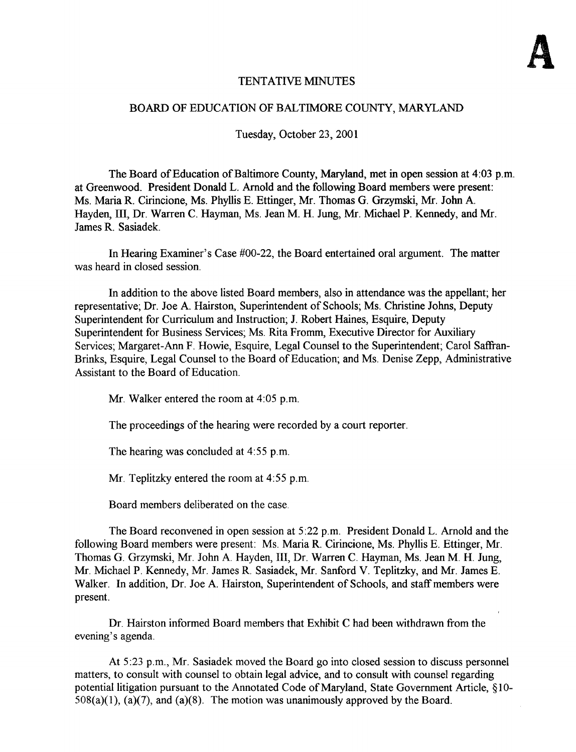# TENTATIVE MINUTES

# BOARD OF EDUCATION OF BALTIMORE COUNTY, MARYLAND

Tuesday, October 23, 2001

The Board of Education of Baltimore County, Maryland, met in open session at 4:03 p.m. at Greenwood. President Donald L. Arnold and the following Board members were present : Ms. Maria R. Cirincione, Ms. Phyllis E. Ettinger, Mr. Thomas G. Grzymski, Mr. John A. Hayden, III, Dr. Warren C. Hayman, Ms. Jean M. H. Jung, Mr. Michael P. Kennedy, and Mr. James R. Sasiadek.

In Hearing Examiner's Case #00-22, the Board entertained oral argument. The matter was heard in closed session

In addition to the above listed Board members, also in attendance was the appellant; her representative; Dr. Joe A. Hairston, Superintendent of Schools; Ms. Christine Johns, Deputy Superintendent for Curriculum and Instruction; J. Robert Haines, Esquire, Deputy Superintendent for Business Services; Ms. Rita Fromm, Executive Director for Auxiliary Services; Margaret-Ann F. Howie, Esquire, Legal Counsel to the Superintendent; Carol Saffran-Brinks, Esquire, Legal Counsel to the Board of Education; and Ms. Denise Zepp, Administrative Assistant to the Board of Education.

Mr. Walker entered the room at 4:05 p.m.

The proceedings of the hearing were recorded by a court reporter.

The hearing was concluded at  $4:55$  p.m.

Mr. Teplitzky entered the room at 4:55 p.m.

Board members deliberated on the case

The Board reconvened in open session at 5:22 p.m. President Donald L. Arnold and the following Board members were present: Ms. Maria R. Cirincione, Ms. Phyllis E. Ettinger, Mr. Thomas G. Grzymski, Mr. John A. Hayden, III, Dr. Warren C. Hayman, Ms. Jean M. H. Jung, Mr. Michael P . Kennedy, Mr. James R. Sasiadek, Mr. Sanford V. Teplitzky, and Mr James E. Walker. In addition, Dr. Joe A. Hairston, Superintendent of Schools, and staff members were present.

Dr. Hairston informed Board members that Exhibit C had been withdrawn from the evening's agenda.

At 5:23 p.m., Mr. Sasiadek moved the Board go into closed session to discuss personnel matters, to consult with counsel to obtain legal advice, and to consult with counsel regarding potential litigation pursuant to the Annotated Code of Maryland, State Government Article, §10- $508(a)(1)$ ,  $(a)(7)$ , and  $(a)(8)$ . The motion was unanimously approved by the Board.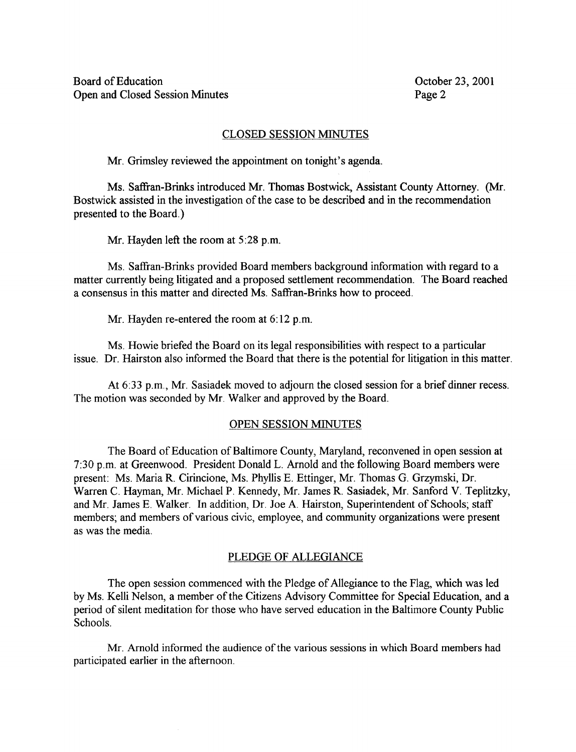## CLOSED SESSION MINUTES

Mr. Grimsley reviewed the appointment on tonight's agenda.

Ms. Saffran-Brinks introduced Mr. Thomas Bostwick, Assistant County Attorney. (Mr. Bostwick assisted in the investigation of the case to be described and in the recommendation presented to the Board.)

Mr. Hayden left the room at 5:28 p.m.

Ms. Saffran-Brinks provided Board members background information with regard to <sup>a</sup> matter currently being litigated and a proposed settlement recommendation. The Board reached <sup>a</sup> consensus in this matter and directed Ms. Saffran-Brinks how to proceed.

Mr. Hayden re-entered the room at  $6:12$  p.m.

Ms. Howie briefed the Board on its legal responsibilities with respect to <sup>a</sup> particular issue . Dr. Hairston also informed the Board that there is the potential for litigation in this matter.

At 6:33 p.m., Mr. Sasiadek moved to adjourn the closed session for a brief dinner recess. The motion was seconded by Mr. Walker and approved by the Board.

#### OPEN SESSION MINUTES

The Board of Education of Baltimore County, Maryland, reconvened in open session at 7:30 p.m. at Greenwood. President Donald L. Arnold and the following Board members were present: Ms. Maria R. Cirincione, Ms. Phyllis E. Ettinger, Mr. Thomas G. Grzymski, Dr. Warren C. Hayman, Mr. Michael P. Kennedy, Mr. James R. Sasiadek, Mr. Sanford V. Teplitzky, and Mr. James E. Walker. In addition, Dr. Joe A. Hairston, Superintendent of Schools; staff members; and members of various civic, employee, and community organizations were present as was the media.

## PLEDGE OF ALLEGIANCE

The open session commenced with the Pledge of Allegiance to the Flag, which was led by Ms. Kelli Nelson, a member of the Citizens Advisory Committee for Special Education, and a period of silent meditation for those who have served education in the Baltimore County Public Schools.

Mr. Arnold informed the audience of the various sessions in which Board members had participated earlier in the afternoon.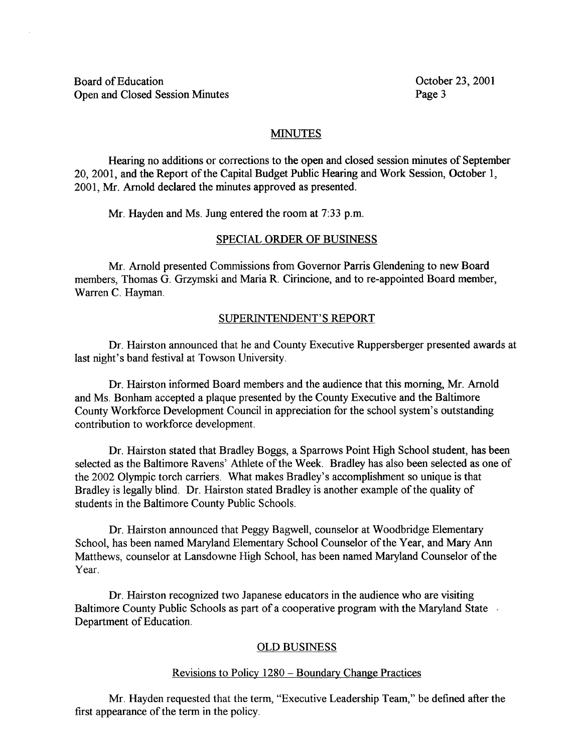Board of Education Constantine Constanting Correct Constanting Correct Constanting Correct Constanting Correct Constanting Correct Constanting Correct Constanting Correct Constanting Correct Constanting Correct Constanting Open and Closed Session Minutes

### MINUTES

Hearing no additions or corrections to the open and closed session minutes of September 20, 2001, and the Report of the Capital Budget Public Hearing and Work Session, October 1, 2001, Mr. Arnold declared the minutes approved as presented.

Mr. Hayden and Ms. Jung entered the room at 7:33 p.m.

#### SPECIAL ORDER OF BUSINESS

Mr. Arnold presented Commissions from Governor Parris Glendening to new Board members, Thomas G. Grzymski and Maria R. Cirincione, and to re-appointed Board member, Warren C. Hayman.

#### SUPERINTENDENT'S REPORT

Dr. Hairston announced that he and County Executive Ruppersberger presented awards at last night's band festival at Towson University .

Dr. Hairston informed Board members and the audience that this morning, Mr. Arnold and Ms. Bonham accepted <sup>a</sup> plaque presented by the County Executive and the Baltimore County Workforce Development Council in appreciation for the school system's outstanding contribution to workforce development.

Dr. Hairston stated that Bradley Boggs, a Sparrows Point High School student, has been selected as the Baltimore Ravens' Athlete of the Week. Bradley has also been selected as one of the 2002 Olympic torch carriers. What makes Bradley's accomplishment so unique is that Bradley is legally blind. Dr. Hairston stated Bradley is another example of the quality of students in the Baltimore County Public Schools.

Dr. Hairston announced that Peggy Bagwell, counselor at Woodbridge Elementary School, has been named Maryland Elementary School Counselor of the Year, and Mary Ann Matthews, counselor at Lansdowne High School, has been named Maryland Counselor of the Year.

Dr. Hairston recognized two Japanese educators in the audience who are visiting Baltimore County Public Schools as part of a cooperative program with the Maryland State Department of Education.

#### OLD BUSINESS

#### Revisions to Policy 1280 - Boundary Change Practices

Mr. Hayden requested that the term, "Executive Leadership Team," be defined after the first appearance of the term in the policy .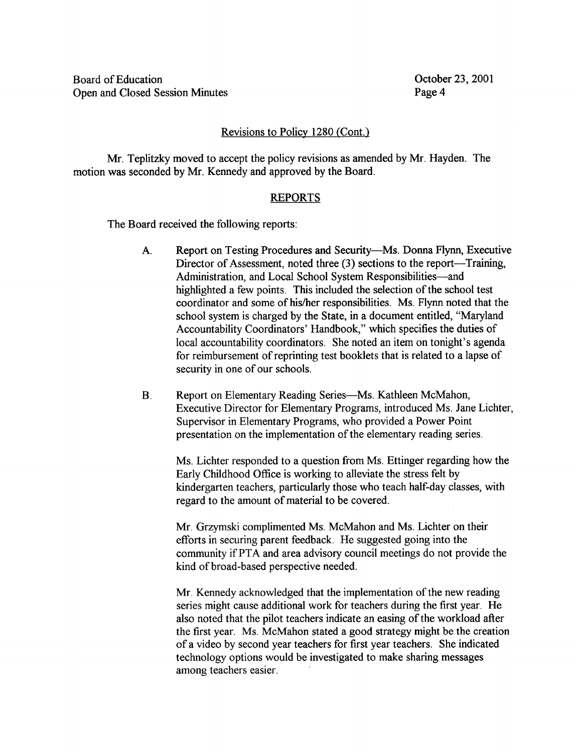# Revisions to Policy 1280 (Cont.)

Mr. Teplitzky moved to accept the policy revisions as amended by Mr. Hayden. The motion was seconded by Mr. Kennedy and approved by the Board.

## REPORTS

The Board received the following reports :

- A. Report on Testing Procedures and Security-Ms. Donna Flynn, Executive Director of Assessment, noted three  $(3)$  sections to the report--Training, Administration, and Local School System Responsibilities-and highlighted a few points. This included the selection of the school test coordinator and some of his/her responsibilities . Ms. Flynn noted that the school system is charged by the State, in a document entitled, "Maryland Accountability Coordinators' Handbook," which specifies the duties of local accountability coordinators. She noted an item on tonight's agenda for reimbursement of reprinting test booklets that is related to a lapse of security in one of our schools.
- $\mathbf{B}$ . Report on Elementary Reading Series-Ms. Kathleen McMahon, Executive Director for Elementary Programs, introduced Ms. Jane Lichter, Supervisor in Elementary Programs, who provided a Power Point presentation on the implementation of the elementary reading series .

Ms. Lichter responded to <sup>a</sup> question from Ms. Ettinger regarding how the Early Childhood Office is working to alleviate the stress felt by kindergarten teachers, particularly those who teach half-day classes, with regard to the amount of material to be covered.

Mr. Grzymski complimented Ms . McMahon and Ms. Lichter on their efforts in securing parent feedback. He suggested going into the community if PTA and area advisory council meetings do not provide the kind of broad-based perspective needed.

Mr. Kennedy acknowledged that the implementation of the new reading series might cause additional work for teachers during the first year. He also noted that the pilot teachers indicate an easing of the workload after the first year. Ms. McMahon stated <sup>a</sup> good strategy might be the creation ofa video by second year teachers for first year teachers. She indicated technology options would be investigated to make sharing messages among teachers easier.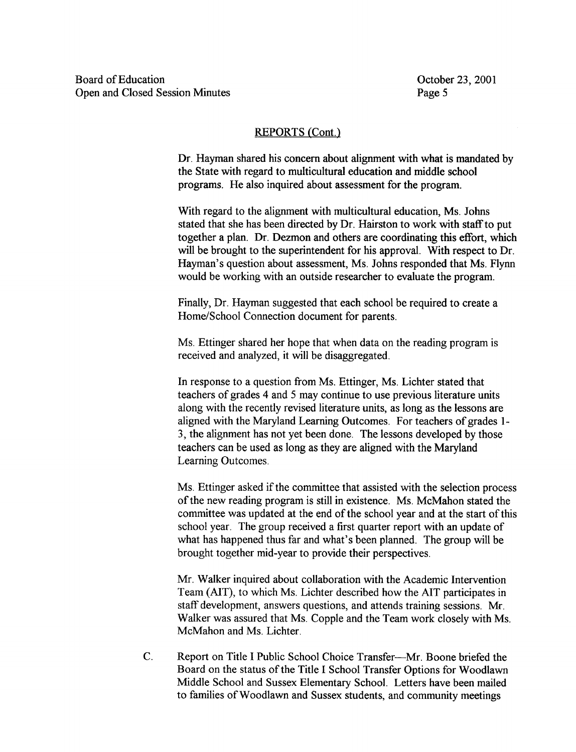## REPORTS (Cont.)

Dr. Hayman shared his concern about alignment with what is mandated by the State with regard to multicultural education and middle school programs. He also inquired about assessment for the program.

With regard to the alignment with multicultural education, Ms. Johns stated that she has been directed by Dr. Hairston to work with staff to put together a plan. Dr. Dezmon and others are coordinating this effort, which will be brought to the superintendent for his approval. With respect to Dr. Hayman's question about assessment, Ms. Johns responded that Ms. Flynn would be working with an outside researcher to evaluate the program.

Finally, Dr. Hayman suggested that each school be required to create a Home/School Connection document for parents .

Ms. Ettinger shared her hope that when data on the reading program is received and analyzed, it will be disaggregated.

In response to <sup>a</sup> question from Ms. Ettinger, Ms. Lichter stated that teachers of grades 4 and 5 may continue to use previous literature units along with the recently revised literature units, as long as the lessons are aligned with the Maryland Learning Outcomes. For teachers of grades 1-3, the alignment has not yet been done. The lessons developed by those teachers can be used as long as they are aligned with the Maryland Learning Outcomes.

Ms. Ettinger asked if the committee that assisted with the selection process of the new reading program is still in existence. Ms. McMahon stated the committee was updated at the end of the school year and at the start of this school year. The group received a first quarter report with an update of what has happened thus far and what's been planned. The group will be brought together mid-year to provide their perspectives .

Mr. Walker inquired about collaboration with the Academic Intervention Team (AIT), to which Ms. Lichter described how the AIT participates in staff development, answers questions, and attends training sessions. Mr. Walker was assured that Ms. Copple and the Team work closely with Ms. McMahon and Ms. Lichter.

C. Report on Title I Public School Choice Transfer-Mr. Boone briefed the Board on the status of the Title I School Transfer Options for Woodlawn Middle School and Sussex Elementary School. Letters have been mailed to families of Woodlawn and Sussex students, and community meetings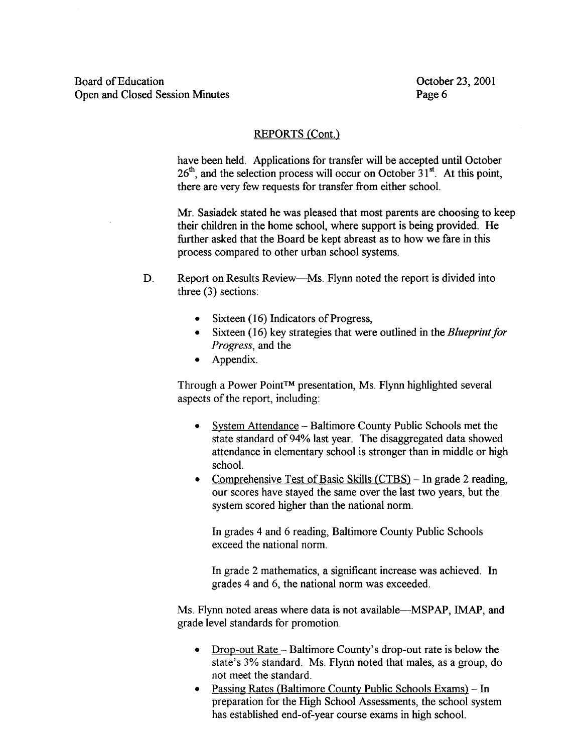# REPORTS (Cont.)

have been held. Applications for transfer will be accepted until October  $26<sup>th</sup>$ , and the selection process will occur on October  $31<sup>st</sup>$ . At this point, there are very few requests for transfer from either school.

Mr. Sasiadek stated he was pleased that most parents are choosing to keep their children in the home school, where support is being provided. He further asked that the Board be kept abreast as to how we fare in this process compared to other urban school systems .

- D. Report on Results Review—Ms. Flynn noted the report is divided into three (3) sections:
	- Sixteen (16) Indicators of Progress,
	- $\bullet$  Sixteen (16) key strategies that were outlined in the *Blueprint for* Progress, and the
	- Appendix.

Through a Power Point™ presentation, Ms. Flynn highlighted several aspects of the report, including:

- System Attendance Baltimore County Public Schools met the state standard of 94% last year. The disaggregated data showed attendance in elementary school is stronger than in middle or high school.
- Comprehensive Test of Basic Skills (CTBS) In grade 2 reading, our scores have stayed the same over the last two years, but the system scored higher than the national norm.

In grades 4 and 6 reading, Baltimore County Public Schools exceed the national norm.

In grade 2 mathematics, a significant increase was achieved. In grades 4 and 6, the national norm was exceeded.

Ms. Flynn noted areas where data is not available-MSPAP, IMAP, and grade level standards for promotion .

- Drop-out Rate Baltimore County's drop-out rate is below the state's 3% standard. Ms. Flynn noted that males, as a group, do not meet the standard.
- Passing Rates (Baltimore County Public Schools Exams) In preparation for the High School Assessments, the school system has established end-of-year course exams in high school.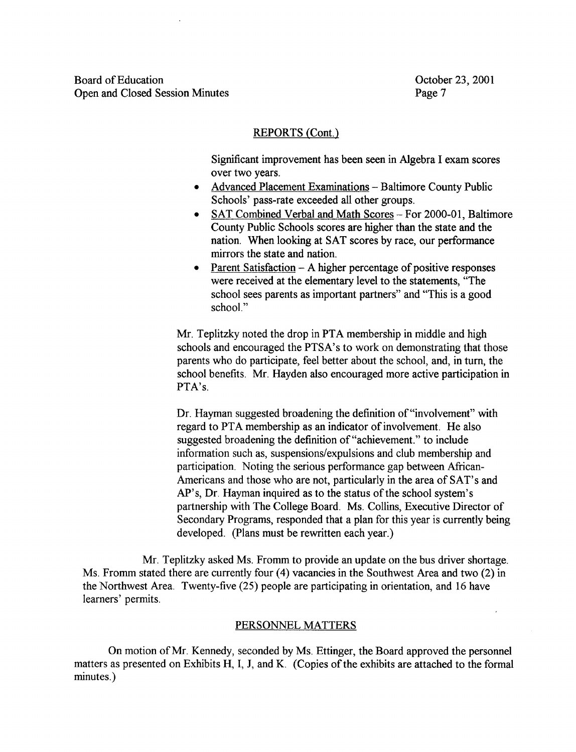Board of Education Constantine Constanting Correct Constanting Correct Constanting Correct Constanting Correct Constanting Correct Constanting Correct Constanting Correct Constanting Correct Constanting Correct Constanting Open and Closed Session Minutes

## REPORTS (Cont.)

Significant improvement has been seen in Algebra <sup>I</sup> exam scores over two years.

- Advanced Placement Examinations Baltimore County Public Schools' pass-rate exceeded all other groups.
- SAT Combined Verbal and Math Scores For 2000-01, Baltimore County Public Schools scores are higher than the state and the nation. When looking at SAT scores by race, our performance mirrors the state and nation.
- Parent Satisfaction A higher percentage of positive responses were received at the elementary level to the statements, "The school sees parents as important partners" and "This is a good school."

Mr. Teplitzky noted the drop in PTA membership in middle and high schools and encouraged the PTSA's to work on demonstrating that those parents who do participate, feel better about the school, and, in turn, the school benefits. Mr. Hayden also encouraged more active participation in PTA's.

Dr. Hayman suggested broadening the definition of "involvement" with regard to PTA membership as an indicator of involvement. He also suggested broadening the definition of "achievement." to include information such as, suspensions/expulsions and club membership and participation. Noting the serious performance gap between African-Americans and those who are not, particularly in the area of SAT's and AP's, Dr. Hayman inquired as to the status of the school system's partnership with The College Board. Ms. Collins, Executive Director of Secondary Programs, responded that a plan for this year is currently being developed. (Plans must be rewritten each year.)

Mr. Teplitzky asked Ms. Fromm to provide an update on the bus driver shortage. Ms. Fromm stated there are currently four (4) vacancies in the Southwest Area and two (2) in the Northwest Area. Twenty-five (25) people are participating in orientation, and 16 have learners' permits.

#### PERSONNEL MATTERS

On motion of Mr. Kennedy, seconded by Ms. Ettinger, the Board approved the personnel It matters as presented on Exhibits H, I, J, and K. (Copies of the exhibits are attached to the formal minutes.)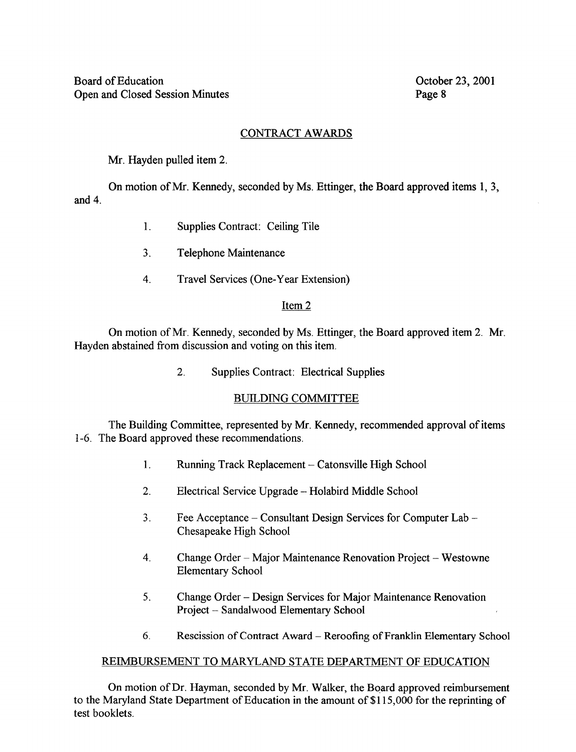# CONTRACT AWARDS

Mr. Hayden pulled item 2.

and 4. On motion of Mr. Kennedy, seconded by Ms. Ettinger, the Board approved items 1, 3,

- 1. Supplies Contract: Ceiling Tile
- $3<sub>1</sub>$ Telephone Maintenance
- 4. Travel Services (One-Year Extension)

# Item 2

On motion of Mr. Kennedy, seconded by Ms. Ettinger, the Board approved item 2. Mr. Hayden abstained from discussion and voting on this item.

2. Supplies Contract: Electrical Supplies

# BUILDING COMMITTEE

The Building Committee, represented by Mr. Kennedy, recommended approval of items 1-6 . The Board approved these recommendations

- 1. Running Track Replacement Catonsville High School
- 2. Electrical Service Upgrade Holabird Middle School
- 3 . Fee Acceptance Consultant Design Services for Computer Lab Chesapeake High School
- 4. Change Order Major Maintenance Renovation Project Westowne Elementary School
- 5. Change Order Design Services for Major Maintenance Renovation Project - Sandalwood Elementary School
- 6. Rescission of Contract Award Reroofing of Franklin Elementary School

# REIMBURSEMENT TO MARYLAND STATE DEPARTMENT OF EDUCATION

On motion of Dr. Hayman, seconded by Mr. Walker, the Board approved reimbursement to the Maryland State Department of Education in the amount of \$115,000 for the reprinting of test booklets.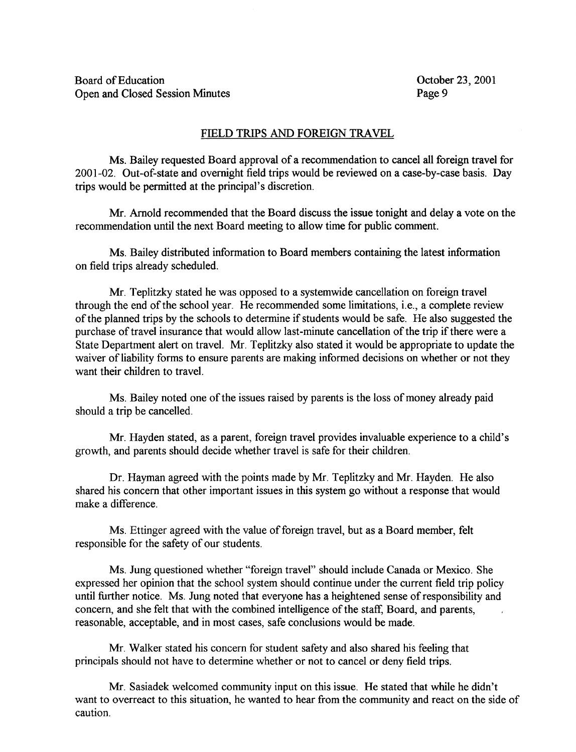## FIELD TRIPS AND FOREIGN TRAVEL

Ms. Bailey requested Board approval of <sup>a</sup> recommendation to cancel all foreign travel for 2001-02 . Out-of-state and overnight field trips would be reviewed on a case-by-case basis. Day trips would be permitted at the principal's discretion .

Mr. Arnold recommended that the Board discuss the issue tonight and delay a vote on the recommendation until the next Board meeting to allow time for public comment.

Ms. Bailey distributed information to Board members containing the latest information on field trips already scheduled.

Mr. Teplitzky stated he was opposed to <sup>a</sup> systemwide cancellation on foreign travel through the end of the school year. He recommended some limitations, i.e., a complete review of the planned trips by the schools to determine if students would be safe. He also suggested the purchase of travel insurance that would allow last-minute cancellation of the trip if there were a State Department alert on travel. Mr. Teplitzky also stated it would be appropriate to update the waiver of liability forms to ensure parents are making informed decisions on whether or not they want their children to travel.

Ms. Bailey noted one of the issues raised by parents is the loss of money already paid should a trip be cancelled.

Mr. Hayden stated, as <sup>a</sup> parent, foreign travel provides invaluable experience to <sup>a</sup> child's growth, and parents should decide whether travel is safe for their children.

Dr. Hayman agreed with the points made by Mr. Teplitzky and Mr. Hayden. He also shared his concern that other important issues in this system go without a response that would make a difference .

Ms. Ettinger agreed with the value of foreign travel, but as a Board member, felt responsible for the safety of our students.

Ms. Jung questioned whether "foreign travel" should include Canada or Mexico . She expressed her opinion that the school system should continue under the current field trip policy until further notice. Ms. Jung noted that everyone has <sup>a</sup> heightened sense of responsibility and concern, and she felt that with the combined intelligence of the staff, Board, and parents, reasonable, acceptable, and in most cases, safe conclusions would be made.

Mr. Walker stated his concern for student safety and also shared his feeling that principals should not have to determine whether or not to cancel or deny field trips.

Mr. Sasiadek welcomed community input on this issue . He stated that while he didn't want to overreact to this situation, he wanted to hear from the community and react on the side of caution .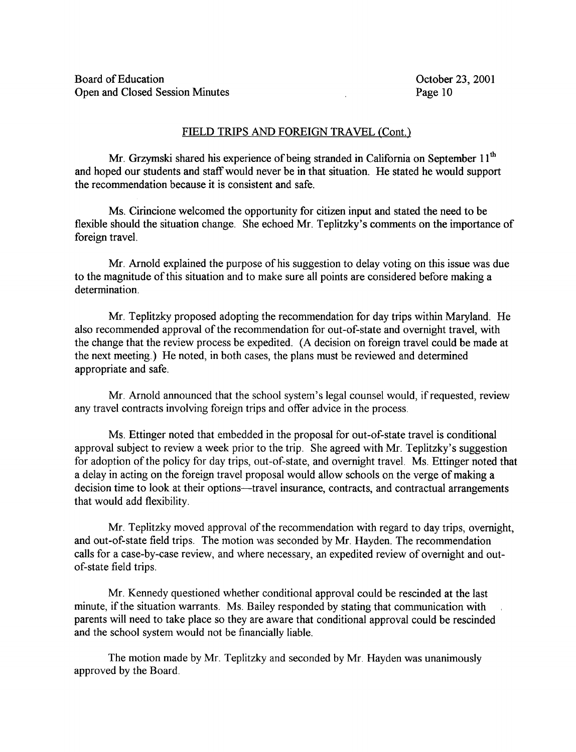### FIELD TRIPS AND FOREIGN TRAVEL (Cont.)

Mr. Grzymski shared his experience of being stranded in California on September  $11<sup>th</sup>$ and hoped our students and staff would never be in that situation. He stated he would support the recommendation because it is consistent and safe.

Ms. Cirincione welcomed the opportunity for citizen input and stated the need to be flexible should the situation change. She echoed Mr. Teplitzky's comments on the importance of foreign travel.

Mr. Arnold explained the purpose of his suggestion to delay voting on this issue was due to the magnitude of this situation and to make sure all points are considered before making a determination.

Mr. Teplitzky proposed adopting the recommendation for day trips within Maryland. He also recommended approval of the recommendation for out-of-state and overnight travel, with the change that the review process be expedited. (A decision on foreign travel could be made at the next meeting.) He noted, in both cases, the plans must be reviewed and determined appropriate and safe.

Mr. Arnold announced that the school system's legal counsel would, if requested, review any travel contracts involving foreign trips and offer advice in the process.

Ms. Ettinger noted that embedded in the proposal for out-of-state travel is conditional approval subject to review a week prior to the trip. She agreed with Mr. Teplitzky's suggestion for adoption of the policy for day trips, out-of-state, and overnight travel. Ms. Ettinger noted that a delay in acting on the foreign travel proposal would allow schools on the verge of making a decision time to look at their options—travel insurance, contracts, and contractual arrangements that would add flexibility.

Mr. Teplitzky moved approval of the recommendation with regard to day trips, overnight, and out-of-state field trips. The motion was seconded by Mr. Hayden. The recommendation calls for a case-by-case review, and where necessary, an expedited review of overnight and outof-state field trips.

Mr. Kennedy questioned whether conditional approval could be rescinded at the last minute, if the situation warrants. Ms. Bailey responded by stating that communication with parents will need to take place so they are aware that conditional approval could be rescinded and the school system would not be financially liable.

The motion made by Mr. Teplitzky and seconded by Mr. Hayden was unanimously approved by the Board.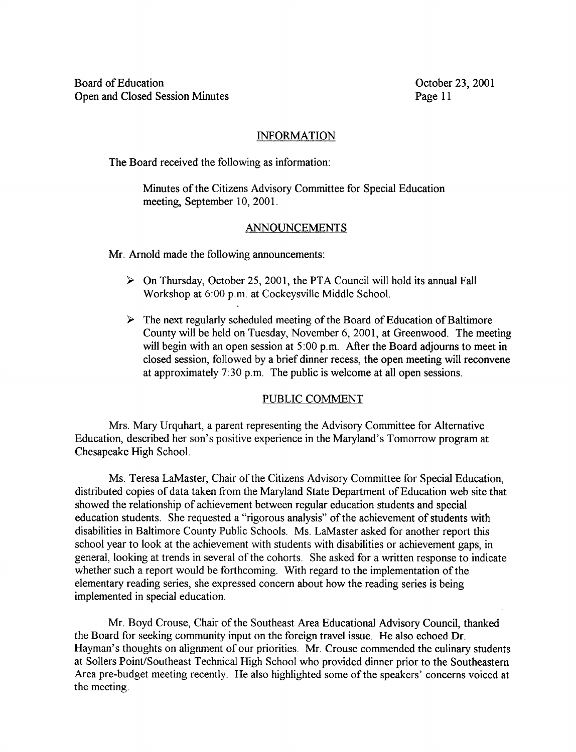## INFORMATION

The Board received the following as information :

Minutes of the Citizens Advisory Committee for Special Education meeting, September 10, 2001.

# ANNOUNCEMENTS

Mr. Arnold made the following announcements:

- $\triangleright$  On Thursday, October 25, 2001, the PTA Council will hold its annual Fall Workshop at 6:00 p.m. at Cockeysville Middle School.
- $\triangleright$  The next regularly scheduled meeting of the Board of Education of Baltimore County will be held on Tuesday, November 6, 2001, at Greenwood. The meeting will begin with an open session at 5:00 p.m. After the Board adjourns to meet in closed session, followed by a brief dinner recess, the open meeting will reconvene at approximately 7 :30 p.m. The public is welcome at all open sessions.

## PUBLIC COMMENT

Mrs. Mary Urquhart, a parent representing the Advisory Committee for Alternative Education, described her son's positive experience in the Maryland's Tomorrow program at Chesapeake High School.

Ms. Teresa LaMaster, Chair of the Citizens Advisory Committee for Special Education, distributed copies of data taken from the Maryland State Department of Education web site that showed the relationship of achievement between regular education students and special education students. She requested a "rigorous analysis" of the achievement of students with disabilities in Baltimore County Public Schools . Ms. LaMaster asked for another report this school year to look at the achievement with students with disabilities or achievement gaps, in general, looking at trends in several of the cohorts. She asked for a written response to indicate whether such a report would be forthcoming. With regard to the implementation of the elementary reading series, she expressed concern about how the reading series is being implemented in special education.

Mr. Boyd Crouse, Chair of the Southeast Area Educational Advisory Council, thanked the Board for seeking community input on the foreign travel issue. He also echoed Dr. Hayman's thoughts on alignment of our priorities. Mr. Crouse commended the culinary students at Sollers Point/Southeast Technical High School who provided dinner prior to the Southeastern Area pre-budget meeting recently. He also highlighted some of the speakers' concerns voiced at the meeting.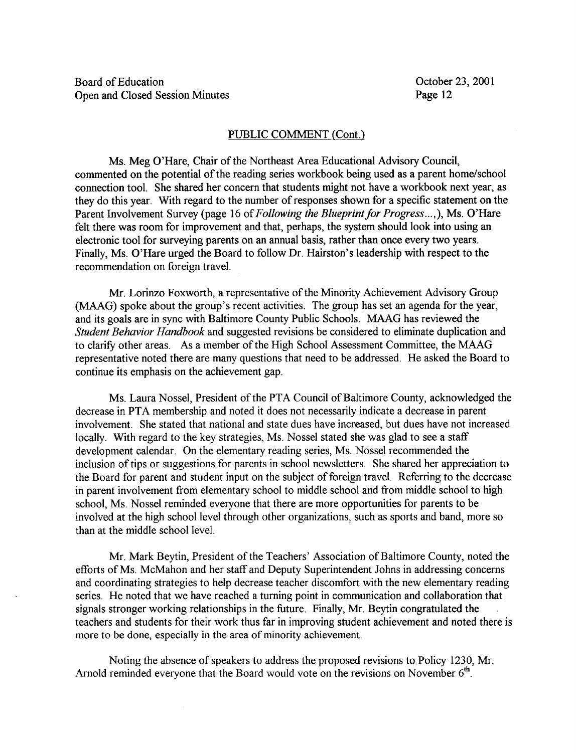#### PUBLIC COMMENT (Cont.)

Ms. Meg O'Hare, Chair of the Northeast Area Educational Advisory Council, commented on the potential of the reading series workbook being used as a parent home/school connection tool. She shared her concern that students might not have a workbook next year, as they do this year. With regard to the number of responses shown for a specific statement on the Parent Involvement Survey (page 16 of Following the Blueprint for Progress...,), Ms. O'Hare felt there was room for improvement and that, perhaps, the system should look into using an electronic tool for surveying parents on an annual basis, rather than once every two years. Finally, Ms. O'Hare urged the Board to follow Dr. Hairston's leadership with respect to the recommendation on foreign travel.

Mr. Lorinzo Foxworth, <sup>a</sup> representative of the Minority Achievement Advisory Group (MAAG) spoke about the group's recent activities. The group has set an agenda for the year, and its goals are in sync with Baltimore County Public Schools . MAAG has reviewed the Student Behavior Handbook and suggested revisions be considered to eliminate duplication and to clarify other areas . As <sup>a</sup> member of the High School Assessment Committee, the MAAG representative noted there are many questions that need to be addressed . He asked the Board to continue its emphasis on the achievement gap.

Ms. Laura Nossel, President of the PTA Council of Baltimore County, acknowledged the decrease in PTA membership and noted it does not necessarily indicate <sup>a</sup> decrease in parent involvement. She stated that national and state dues have increased, but dues have not increased locally. With regard to the key strategies, Ms. Nossel stated she was glad to see a staff development calendar. On the elementary reading series, Ms. Nossel recommended the inclusion of tips or suggestions for parents in school newsletters. She shared her appreciation to the Board for parent and student input on the subject of foreign travel. Referring to the decrease in parent involvement from elementary school to middle school and from middle school to high school, Ms. Nossel reminded everyone that there are more opportunities for parents to be involved at the high school level through other organizations, such as sports and band, more so than at the middle school level.

Mr. Mark Beytin, President of the Teachers' Association of Baltimore County, noted the efforts of Ms. McMahon and her staff and Deputy Superintendent Johns in addressing concerns and coordinating strategies to help decrease teacher discomfort with the new elementary reading series. He noted that we have reached <sup>a</sup> turning point in communication and collaboration that signals stronger working relationships in the future. Finally, Mr. Beytin congratulated the teachers and students for their work thus far in improving student achievement and noted there is more to be done, especially in the area of minority achievement.

Noting the absence of speakers to address the proposed revisions to Policy 1230, Mr. Arnold reminded everyone that the Board would vote on the revisions on November  $6<sup>th</sup>$ .